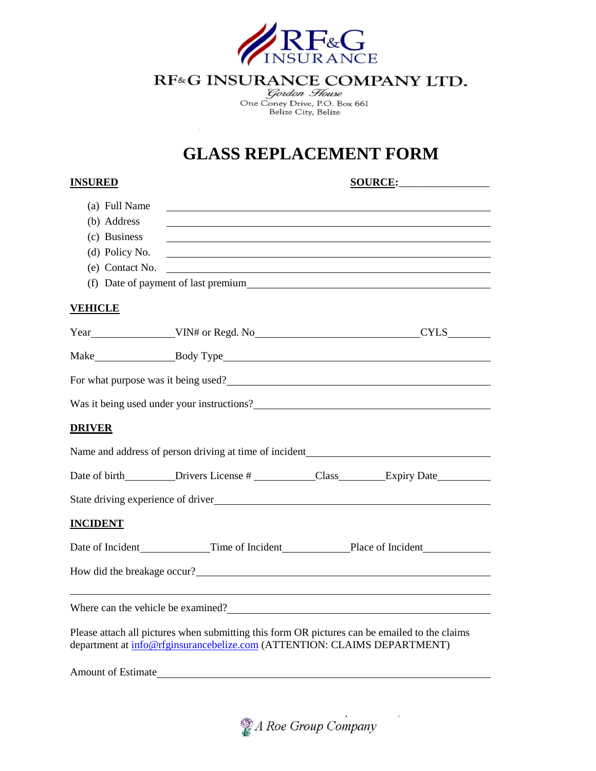

## RF&G INSURANCE COMPANY LTD.

Gordon House<br>One Coney Drive, P.O. Box 661<br>Belize City, Belize

## **GLASS REPLACEMENT FORM**

| <b>INSURED</b>            | SOURCE:                                                                                                                                                                                                                               |  |  |
|---------------------------|---------------------------------------------------------------------------------------------------------------------------------------------------------------------------------------------------------------------------------------|--|--|
| (a) Full Name             |                                                                                                                                                                                                                                       |  |  |
| (b) Address               |                                                                                                                                                                                                                                       |  |  |
| (c) Business              |                                                                                                                                                                                                                                       |  |  |
| (d) Policy No.            |                                                                                                                                                                                                                                       |  |  |
| (e) Contact No.           | <u> 1989 - Johann Barnett, fransk politiker (d. 1989)</u>                                                                                                                                                                             |  |  |
|                           | (f) Date of payment of last premium                                                                                                                                                                                                   |  |  |
| <b>VEHICLE</b>            |                                                                                                                                                                                                                                       |  |  |
|                           | Year VIN# or Regd. No VIN# Or Regdently CYLS VINE                                                                                                                                                                                     |  |  |
|                           |                                                                                                                                                                                                                                       |  |  |
|                           | For what purpose was it being used?                                                                                                                                                                                                   |  |  |
|                           | Was it being used under your instructions?<br><u>Letting</u> the set of the set of the set of the set of the set of the set of the set of the set of the set of the set of the set of the set of the set of the set of the set of the |  |  |
| <b>DRIVER</b>             |                                                                                                                                                                                                                                       |  |  |
|                           |                                                                                                                                                                                                                                       |  |  |
|                           | Date of birth__________Drivers License #_____________Class_________Expiry Date__________                                                                                                                                              |  |  |
|                           | State driving experience of driver health and the state of the state of the state of the state of the state of the state of the state of the state of the state of the state of the state of the state of the state of the sta        |  |  |
| <b>INCIDENT</b>           |                                                                                                                                                                                                                                       |  |  |
|                           | Date of Incident Time of Incident Place of Incident                                                                                                                                                                                   |  |  |
|                           | How did the breakage occur?                                                                                                                                                                                                           |  |  |
|                           | Where can the vehicle be examined?                                                                                                                                                                                                    |  |  |
|                           | Please attach all pictures when submitting this form OR pictures can be emailed to the claims                                                                                                                                         |  |  |
|                           | department at info@rfginsurancebelize.com (ATTENTION: CLAIMS DEPARTMENT)                                                                                                                                                              |  |  |
| <b>Amount of Estimate</b> |                                                                                                                                                                                                                                       |  |  |



 $\bar{\beta}$